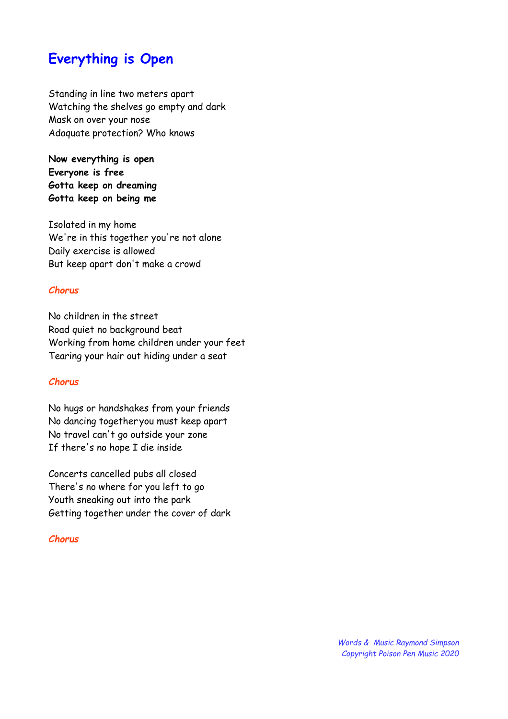# **Everything is Open**

Standing in line two meters apart Watching the shelves go empty and dark Mask on over your nose Adaquate protection? Who knows

**Now everything is open Everyone is free Gotta keep on dreaming Gotta keep on being me**

Isolated in my home We're in this together you're not alone Daily exercise is allowed But keep apart don't make a crowd

#### *Chorus*

No children in the street Road quiet no background beat Working from home children under your feet Tearing your hair out hiding under a seat

#### *Chorus*

No hugs or handshakes from your friends No dancing together you must keep apart No travel can't go outside your zone If there's no hope I die inside

Concerts cancelled pubs all closed There's no where for you left to go Youth sneaking out into the park Getting together under the cover of dark

#### *Chorus*

*Words & Music Raymond Simpson Copyright Poison Pen Music 2020*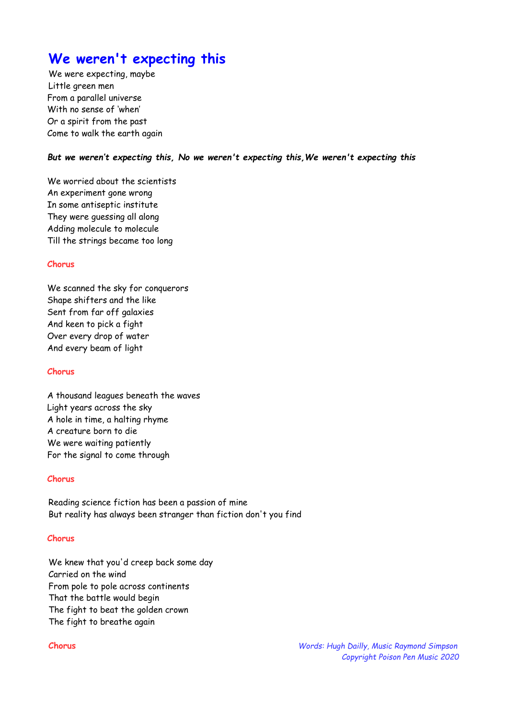# **We weren't expecting this**

We were expecting, maybe Little green men From a parallel universe With no sense of 'when' Or a spirit from the past Come to walk the earth again

#### *But we weren't expecting this, No we weren't expecting this,We weren't expecting this*

We worried about the scientists An experiment gone wrong In some antiseptic institute They were guessing all along Adding molecule to molecule Till the strings became too long

#### **Chorus**

We scanned the sky for conquerors Shape shifters and the like Sent from far off galaxies And keen to pick a fight Over every drop of water And every beam of light

#### **Chorus**

A thousand leagues beneath the waves Light years across the sky A hole in time, a halting rhyme A creature born to die We were waiting patiently For the signal to come through

#### **Chorus**

Reading science fiction has been a passion of mine But reality has always been stranger than fiction don't you find

#### **Chorus**

We knew that you'd creep back some day Carried on the wind From pole to pole across continents That the battle would begin The fight to beat the golden crown The fight to breathe again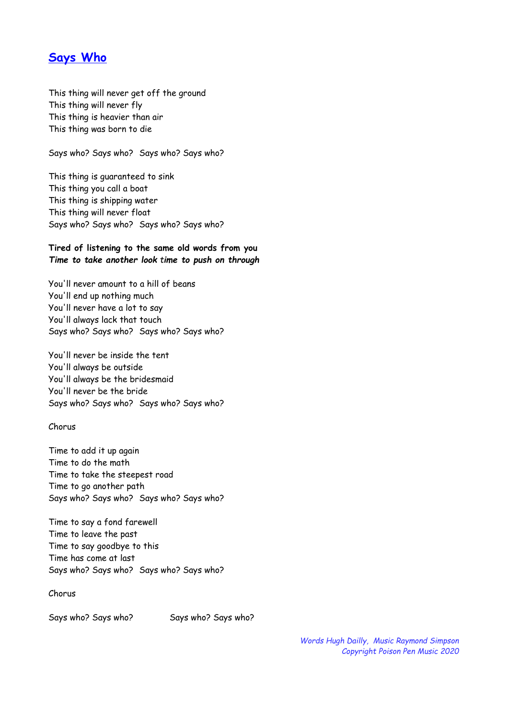## **Says Who**

This thing will never get off the ground This thing will never fly This thing is heavier than air This thing was born to die

Says who? Says who? Says who? Says who?

This thing is guaranteed to sink This thing you call a boat This thing is shipping water This thing will never float Says who? Says who? Says who? Says who?

#### **Tired of listening to the same old words from you** *Time to take another look time to push on through*

You'll never amount to a hill of beans You'll end up nothing much You'll never have a lot to say You'll always lack that touch Says who? Says who? Says who? Says who?

You'll never be inside the tent You'll always be outside You'll always be the bridesmaid You'll never be the bride Says who? Says who? Says who? Says who?

Chorus

Time to add it up again Time to do the math Time to take the steepest road Time to go another path Says who? Says who? Says who? Says who?

Time to say a fond farewell Time to leave the past Time to say goodbye to this Time has come at last Says who? Says who? Says who? Says who?

Chorus

Says who? Says who? Says who? Says who?

*Words Hugh Dailly, Music Raymond Simpson Copyright Poison Pen Music 2020*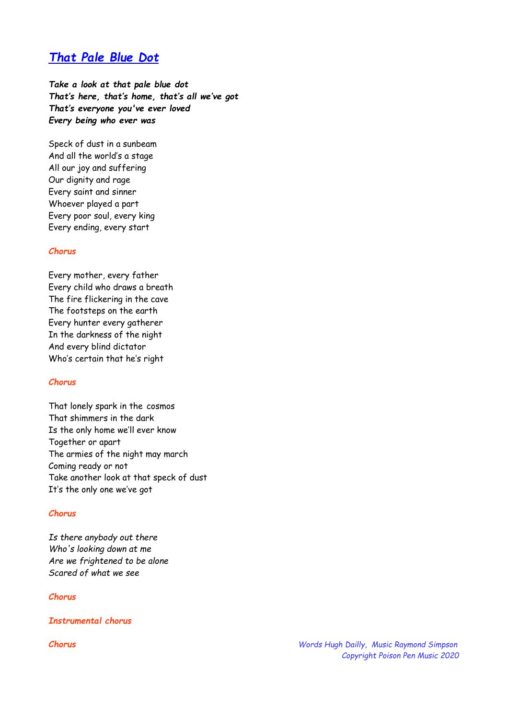## *That Pale Blue Dot*

*Take a look at that pale blue dot That's here, that's home, that's all we've got That's everyone you've ever loved Every being who ever was*

Speck of dust in a sunbeam And all the world's a stage All our joy and suffering Our dignity and rage Every saint and sinner Whoever played a part Every poor soul, every king Every ending, every start

#### *Chorus*

Every mother, every father Every child who draws a breath The fire flickering in the cave The footsteps on the earth Every hunter every gatherer In the darkness of the night And every blind dictator Who's certain that he's right

#### *Chorus*

That lonely spark in the cosmos That shimmers in the dark Is the only home we'll ever know Together or apart The armies of the night may march Coming ready or not Take another look at that speck of dust It's the only one we've got

#### *Chorus*

*Is there anybody out there Who's looking down at me Are we frightened to be alone Scared of what we see*

#### *Chorus*

*Instrumental chorus*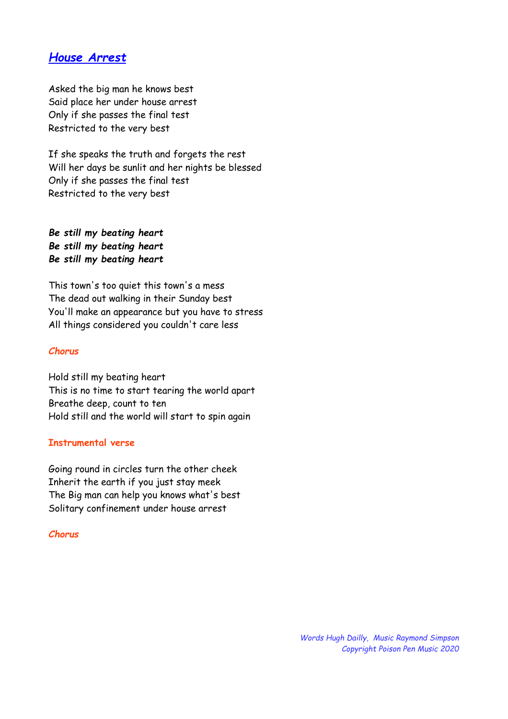## *House Arrest*

Asked the big man he knows best Said place her under house arrest Only if she passes the final test Restricted to the very best

If she speaks the truth and forgets the rest Will her days be sunlit and her nights be blessed Only if she passes the final test Restricted to the very best

*Be still my beating heart Be still my beating heart Be still my beating heart*

This town's too quiet this town's a mess The dead out walking in their Sunday best You'll make an appearance but you have to stress All things considered you couldn't care less

#### *Chorus*

Hold still my beating heart This is no time to start tearing the world apart Breathe deep, count to ten Hold still and the world will start to spin again

#### **Instrumental verse**

Going round in circles turn the other cheek Inherit the earth if you just stay meek The Big man can help you knows what's best Solitary confinement under house arrest

#### *Chorus*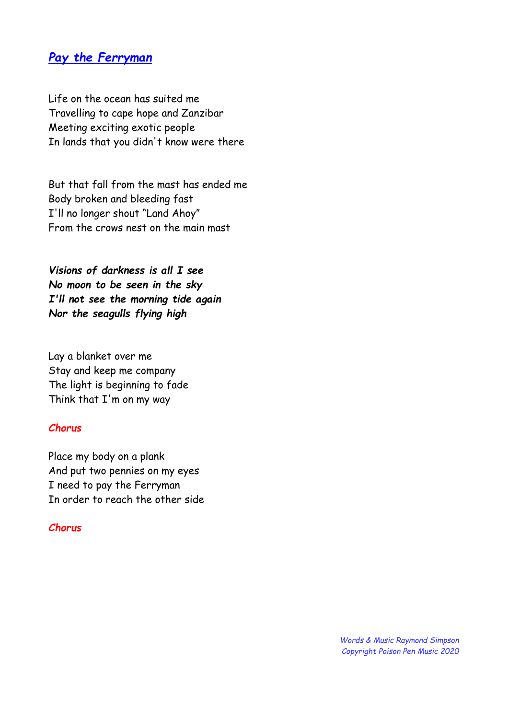## *Pay the Ferryman*

Life on the ocean has suited me Travelling to cape hope and Zanzibar Meeting exciting exotic people In lands that you didn't know were there

But that fall from the mast has ended me Body broken and bleeding fast I'll no longer shout "Land Ahoy" From the crows nest on the main mast

*Visions of darkness is all I see No moon to be seen in the sky I'll not see the morning tide again Nor the seagulls flying high*

Lay a blanket over me Stay and keep me company The light is beginning to fade Think that I'm on my way

### *Chorus*

Place my body on a plank And put two pennies on my eyes I need to pay the Ferryman In order to reach the other side

#### *Chorus*

*Words & Music Raymond Simpson Copyright Poison Pen Music 2020*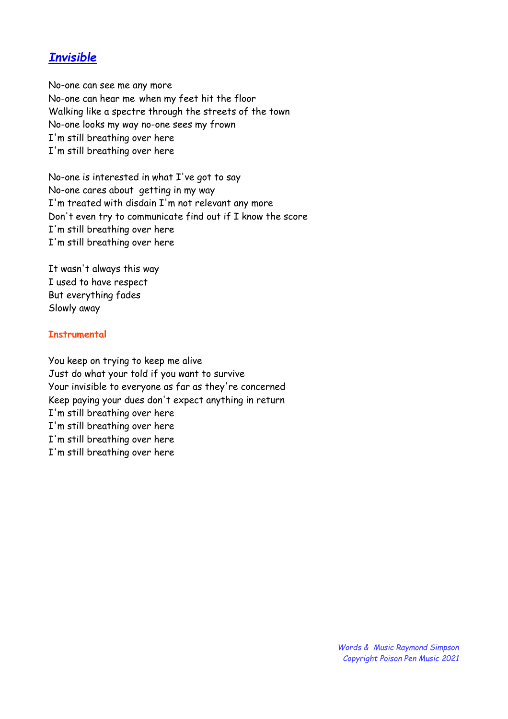## *Invisible*

No-one can see me any more No-one can hear me when my feet hit the floor Walking like a spectre through the streets of the town No-one looks my way no-one sees my frown I'm still breathing over here I'm still breathing over here

No-one is interested in what I've got to say No-one cares about getting in my way I'm treated with disdain I'm not relevant any more Don't even try to communicate find out if I know the score I'm still breathing over here I'm still breathing over here

It wasn't always this way I used to have respect But everything fades Slowly away

#### **Instrumental**

You keep on trying to keep me alive Just do what your told if you want to survive Your invisible to everyone as far as they're concerned Keep paying your dues don't expect anything in return I'm still breathing over here I'm still breathing over here I'm still breathing over here I'm still breathing over here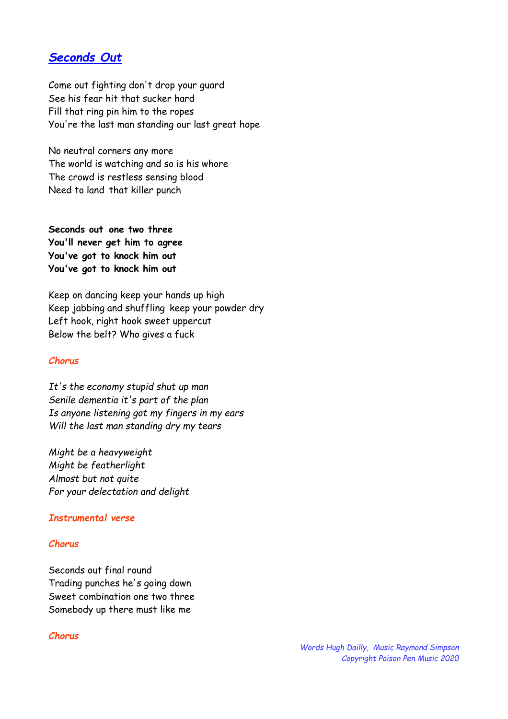## *Seconds Out*

Come out fighting don't drop your guard See his fear hit that sucker hard Fill that ring pin him to the ropes You're the last man standing our last great hope

No neutral corners any more The world is watching and so is his whore The crowd is restless sensing blood Need to land that killer punch

**Seconds out one two three You'll never get him to agree You've got to knock him out You've got to knock him out**

Keep on dancing keep your hands up high Keep jabbing and shuffling keep your powder dry Left hook, right hook sweet uppercut Below the belt? Who gives a fuck

#### *Chorus*

*It's the economy stupid shut up man Senile dementia it's part of the plan Is anyone listening got my fingers in my ears Will the last man standing dry my tears*

*Might be a heavyweight Might be featherlight Almost but not quite For your delectation and delight*

#### *Instrumental verse*

#### *Chorus*

Seconds out final round Trading punches he's going down Sweet combination one two three Somebody up there must like me

#### *Chorus*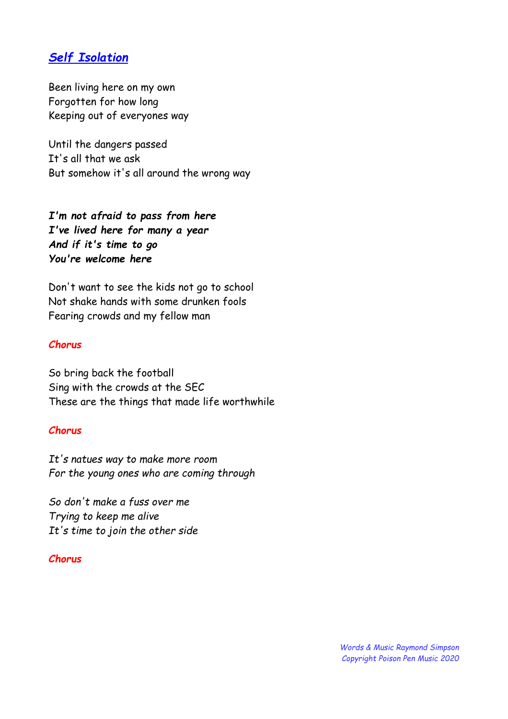## *Self Isolation*

Been living here on my own Forgotten for how long Keeping out of everyones way

Until the dangers passed It's all that we ask But somehow it's all around the wrong way

*I'm not afraid to pass from here I've lived here for many a year And if it's time to go You're welcome here*

Don't want to see the kids not go to school Not shake hands with some drunken fools Fearing crowds and my fellow man

#### *Chorus*

So bring back the football Sing with the crowds at the SEC These are the things that made life worthwhile

#### *Chorus*

*It's natues way to make more room For the young ones who are coming through*

*So don't make a fuss over me Trying to keep me alive It's time to join the other side*

#### *Chorus*

*Words & Music Raymond Simpson Copyright Poison Pen Music 2020*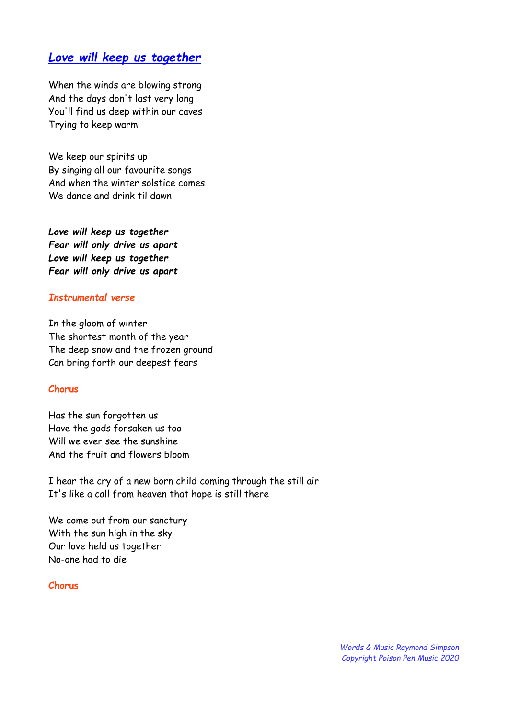## *Love will keep us together*

When the winds are blowing strong And the days don't last very long You'll find us deep within our caves Trying to keep warm

We keep our spirits up By singing all our favourite songs And when the winter solstice comes We dance and drink til dawn

*Love will keep us together Fear will only drive us apart Love will keep us together Fear will only drive us apart*

#### *Instrumental verse*

In the gloom of winter The shortest month of the year The deep snow and the frozen ground Can bring forth our deepest fears

#### **Chorus**

Has the sun forgotten us Have the gods forsaken us too Will we ever see the sunshine And the fruit and flowers bloom

I hear the cry of a new born child coming through the still air It's like a call from heaven that hope is still there

We come out from our sanctury With the sun high in the sky Our love held us together No-one had to die

#### **Chorus**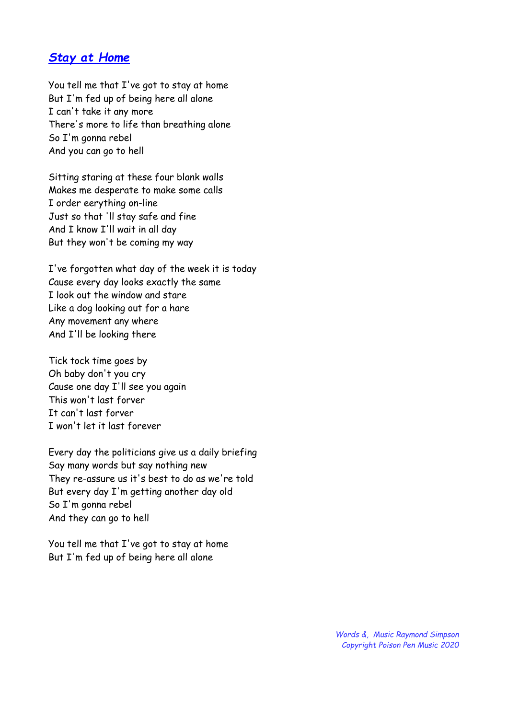## *Stay at Home*

You tell me that I've got to stay at home But I'm fed up of being here all alone I can't take it any more There's more to life than breathing alone So I'm gonna rebel And you can go to hell

Sitting staring at these four blank walls Makes me desperate to make some calls I order eerything on-line Just so that 'll stay safe and fine And I know I'll wait in all day But they won't be coming my way

I've forgotten what day of the week it is today Cause every day looks exactly the same I look out the window and stare Like a dog looking out for a hare Any movement any where And I'll be looking there

Tick tock time goes by Oh baby don't you cry Cause one day I'll see you again This won't last forver It can't last forver I won't let it last forever

Every day the politicians give us a daily briefing Say many words but say nothing new They re-assure us it's best to do as we're told But every day I'm getting another day old So I'm gonna rebel And they can go to hell

You tell me that I've got to stay at home But I'm fed up of being here all alone

> *Words &, Music Raymond Simpson Copyright Poison Pen Music 2020*